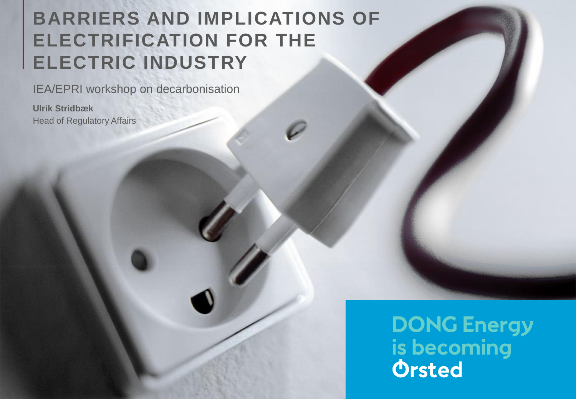# **BARRIERS AND IMPLICATIONS OF ELECTRIFICATION FOR THE ELECTRIC INDUSTRY**

IEA/EPRI workshop on decarbonisation

**Ulrik Stridbæk** Head of Regulatory Affairs

> **DONG Energy** is becoming **Orsted**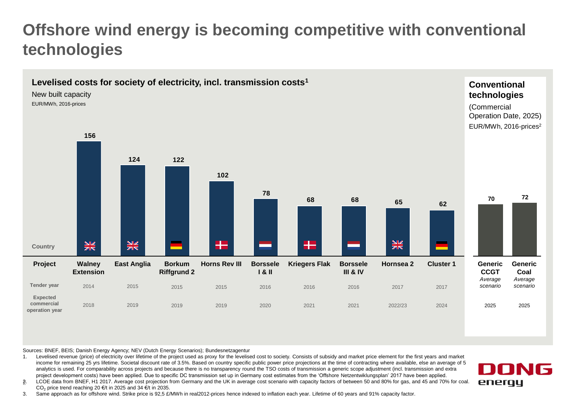## **Offshore wind energy is becoming competitive with conventional technologies**



Sources: BNEF, BEIS; Danish Energy Agency; NEV (Dutch Energy Scenarios); Bundesnetzagentur

1. Levelised revenue (price) of electricity over lifetime of the project used as proxy for the levelised cost to society. Consists of subsidy and market price element for the first years and market income for remaining 25 yrs lifetime. Societal discount rate of 3.5%. Based on country specific public power price projections at the time of contracting where available, else an average of 5 analytics is used. For comparability across projects and because there is no transparency round the TSO costs of transmission a generic scope adjustment (incl. transmission and extra project development costs) have been applied. Due to specific DC transmission set up in Germany cost estimates from the 'Offshore Netzentwiklungsplan' 2017 have been applied.

г. LCOE data from BNEF, H1 2017. Average cost projection from Germany and the UK in average cost scenario with capacity factors of between 50 and 80% for gas, and 45 and 70% for coal. CO<sub>2</sub> price trend reaching 20 €/t in 2025 and 34 €/t in 2035.

3. Same approach as for offshore wind. Strike price is 92,5 £/MWh in real2012-prices hence indexed to inflation each year. Lifetime of 60 years and 91% capacity factor.

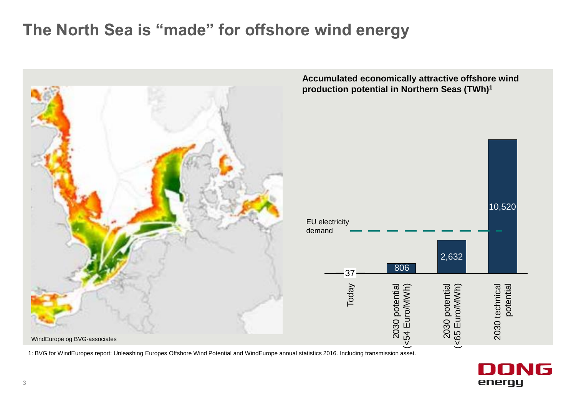### **The North Sea is "made" for offshore wind energy**



1: BVG for WindEuropes report: Unleashing Europes Offshore Wind Potential and WindEurope annual statistics 2016. Including transmission asset.

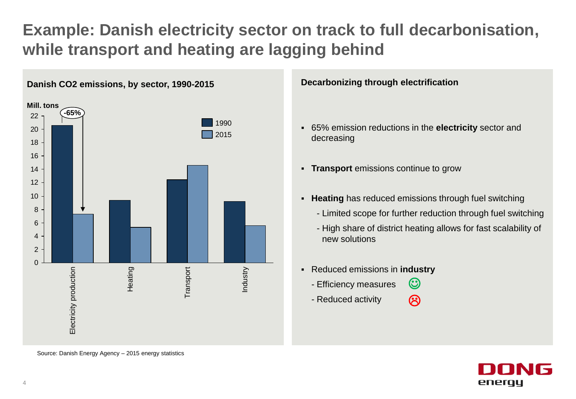# **Example: Danish electricity sector on track to full decarbonisation, while transport and heating are lagging behind**



#### **Decarbonizing through electrification**

- 65% emission reductions in the **electricity** sector and decreasing
- **Transport** emissions continue to grow
- **Heating** has reduced emissions through fuel switching
	- Limited scope for further reduction through fuel switching
	- High share of district heating allows for fast scalability of new solutions
- Reduced emissions in **industry**
	- Efficiency measures  $\odot$
	- Reduced activity  $\bm{\mathfrak{S}}$



Source: Danish Energy Agency – 2015 energy statistics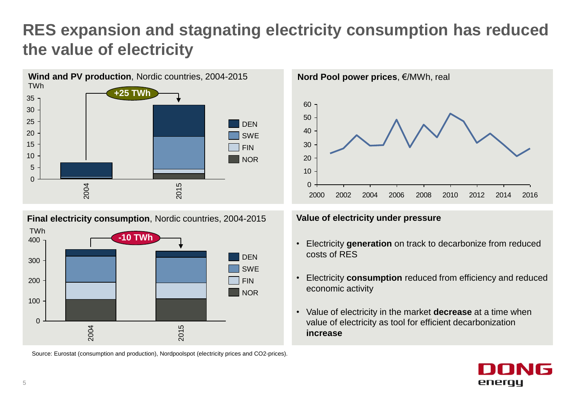# **RES expansion and stagnating electricity consumption has reduced the value of electricity**





Source: Eurostat (consumption and production), Nordpoolspot (electricity prices and CO2-prices).



#### **Value of electricity under pressure**

- Electricity **generation** on track to decarbonize from reduced costs of RES
- Electricity **consumption** reduced from efficiency and reduced economic activity
- Value of electricity in the market **decrease** at a time when value of electricity as tool for efficient decarbonization **increase**

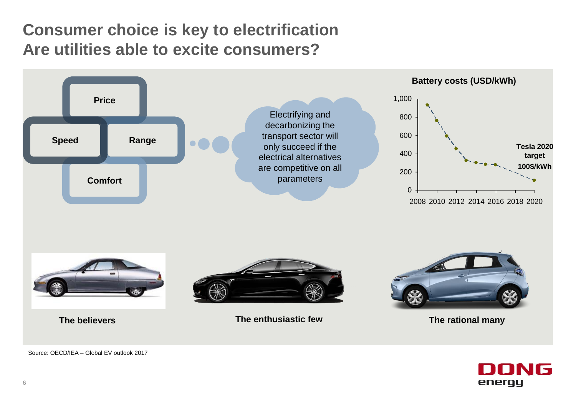### **Consumer choice is key to electrification Are utilities able to excite consumers?**





Source: OECD/IEA – Global EV outlook 2017